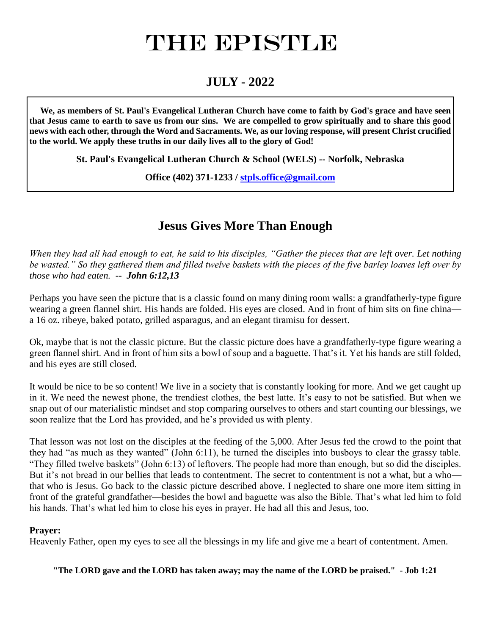# THE EPISTLE

# **JULY - 2022**

 **We, as members of St. Paul's Evangelical Lutheran Church have come to faith by God's grace and have seen that Jesus came to earth to save us from our sins. We are compelled to grow spiritually and to share this good news with each other, through the Word and Sacraments. We, as our loving response, will present Christ crucified to the world. We apply these truths in our daily lives all to the glory of God!**

**St. Paul's Evangelical Lutheran Church & School (WELS) -- Norfolk, Nebraska**

**Office (402) 371-1233 / [stpls.office@gmail.com](mailto:stpls.office@gmail.com)**

# **Jesus Gives More Than Enough**

*When they had all had enough to eat, he said to his disciples, "Gather the pieces that are left over. Let nothing be wasted." So they gathered them and filled twelve baskets with the pieces of the five barley loaves left over by those who had eaten. -- John 6:12,13*

Perhaps you have seen the picture that is a classic found on many dining room walls: a grandfatherly-type figure wearing a green flannel shirt. His hands are folded. His eyes are closed. And in front of him sits on fine china a 16 oz. ribeye, baked potato, grilled asparagus, and an elegant tiramisu for dessert.

Ok, maybe that is not the classic picture. But the classic picture does have a grandfatherly-type figure wearing a green flannel shirt. And in front of him sits a bowl of soup and a baguette. That's it. Yet his hands are still folded, and his eyes are still closed.

It would be nice to be so content! We live in a society that is constantly looking for more. And we get caught up in it. We need the newest phone, the trendiest clothes, the best latte. It's easy to not be satisfied. But when we snap out of our materialistic mindset and stop comparing ourselves to others and start counting our blessings, we soon realize that the Lord has provided, and he's provided us with plenty.

That lesson was not lost on the disciples at the feeding of the 5,000. After Jesus fed the crowd to the point that they had "as much as they wanted" (John 6:11), he turned the disciples into busboys to clear the grassy table. "They filled twelve baskets" (John 6:13) of leftovers. The people had more than enough, but so did the disciples. But it's not bread in our bellies that leads to contentment. The secret to contentment is not a what, but a who that who is Jesus. Go back to the classic picture described above. I neglected to share one more item sitting in front of the grateful grandfather—besides the bowl and baguette was also the Bible. That's what led him to fold his hands. That's what led him to close his eyes in prayer. He had all this and Jesus, too.

#### **Prayer:**

Heavenly Father, open my eyes to see all the blessings in my life and give me a heart of contentment. Amen.

**"The LORD gave and the LORD has taken away; may the name of the LORD be praised." - Job 1:21**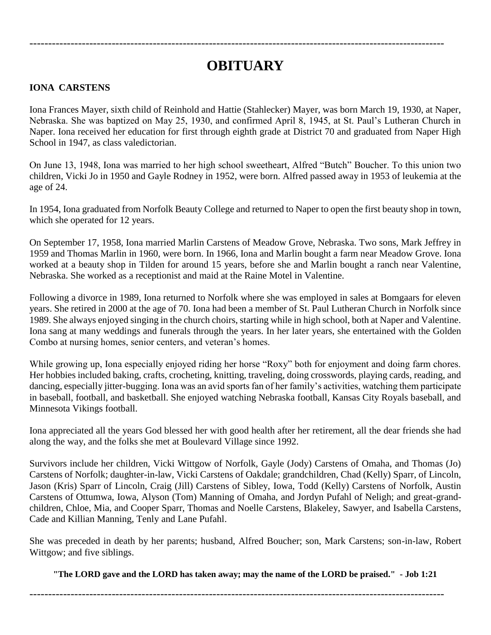# **OBITUARY**

---------------------------------------------------------------------------------------------------------------

#### **IONA CARSTENS**

Iona Frances Mayer, sixth child of Reinhold and Hattie (Stahlecker) Mayer, was born March 19, 1930, at Naper, Nebraska. She was baptized on May 25, 1930, and confirmed April 8, 1945, at St. Paul's Lutheran Church in Naper. Iona received her education for first through eighth grade at District 70 and graduated from Naper High School in 1947, as class valedictorian.

On June 13, 1948, Iona was married to her high school sweetheart, Alfred "Butch" Boucher. To this union two children, Vicki Jo in 1950 and Gayle Rodney in 1952, were born. Alfred passed away in 1953 of leukemia at the age of 24.

In 1954, Iona graduated from Norfolk Beauty College and returned to Naper to open the first beauty shop in town, which she operated for 12 years.

On September 17, 1958, Iona married Marlin Carstens of Meadow Grove, Nebraska. Two sons, Mark Jeffrey in 1959 and Thomas Marlin in 1960, were born. In 1966, Iona and Marlin bought a farm near Meadow Grove. Iona worked at a beauty shop in Tilden for around 15 years, before she and Marlin bought a ranch near Valentine, Nebraska. She worked as a receptionist and maid at the Raine Motel in Valentine.

Following a divorce in 1989, Iona returned to Norfolk where she was employed in sales at Bomgaars for eleven years. She retired in 2000 at the age of 70. Iona had been a member of St. Paul Lutheran Church in Norfolk since 1989. She always enjoyed singing in the church choirs, starting while in high school, both at Naper and Valentine. Iona sang at many weddings and funerals through the years. In her later years, she entertained with the Golden Combo at nursing homes, senior centers, and veteran's homes.

While growing up, Iona especially enjoyed riding her horse "Roxy" both for enjoyment and doing farm chores. Her hobbies included baking, crafts, crocheting, knitting, traveling, doing crosswords, playing cards, reading, and dancing, especially jitter-bugging. Iona was an avid sports fan of her family's activities, watching them participate in baseball, football, and basketball. She enjoyed watching Nebraska football, Kansas City Royals baseball, and Minnesota Vikings football.

Iona appreciated all the years God blessed her with good health after her retirement, all the dear friends she had along the way, and the folks she met at Boulevard Village since 1992.

Survivors include her children, Vicki Wittgow of Norfolk, Gayle (Jody) Carstens of Omaha, and Thomas (Jo) Carstens of Norfolk; daughter-in-law, Vicki Carstens of Oakdale; grandchildren, Chad (Kelly) Sparr, of Lincoln, Jason (Kris) Sparr of Lincoln, Craig (Jill) Carstens of Sibley, Iowa, Todd (Kelly) Carstens of Norfolk, Austin Carstens of Ottumwa, Iowa, Alyson (Tom) Manning of Omaha, and Jordyn Pufahl of Neligh; and great-grandchildren, Chloe, Mia, and Cooper Sparr, Thomas and Noelle Carstens, Blakeley, Sawyer, and Isabella Carstens, Cade and Killian Manning, Tenly and Lane Pufahl.

She was preceded in death by her parents; husband, Alfred Boucher; son, Mark Carstens; son-in-law, Robert Wittgow; and five siblings.

**"The LORD gave and the LORD has taken away; may the name of the LORD be praised." - Job 1:21**

---------------------------------------------------------------------------------------------------------------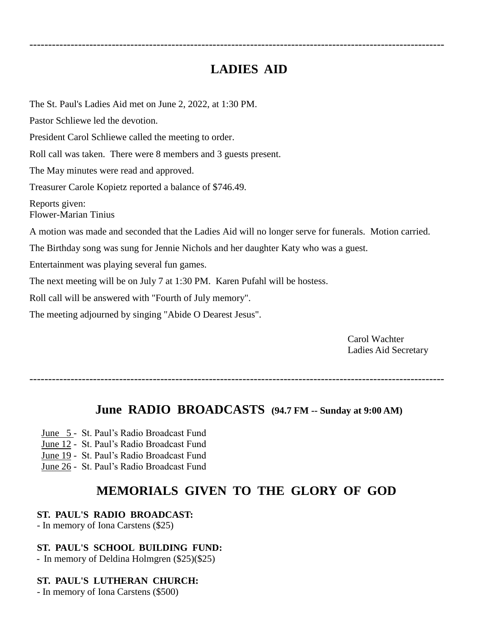# **LADIES AID**

---------------------------------------------------------------------------------------------------------------

The St. Paul's Ladies Aid met on June 2, 2022, at 1:30 PM. Pastor Schliewe led the devotion. President Carol Schliewe called the meeting to order. Roll call was taken. There were 8 members and 3 guests present. The May minutes were read and approved. Treasurer Carole Kopietz reported a balance of \$746.49. Reports given: Flower-Marian Tinius A motion was made and seconded that the Ladies Aid will no longer serve for funerals. Motion carried. The Birthday song was sung for Jennie Nichols and her daughter Katy who was a guest. Entertainment was playing several fun games. The next meeting will be on July 7 at 1:30 PM. Karen Pufahl will be hostess. Roll call will be answered with "Fourth of July memory". The meeting adjourned by singing "Abide O Dearest Jesus".

> Carol Wachter Ladies Aid Secretary

---------------------------------------------------------------------------------------------------------------

### **June RADIO BROADCASTS (94.7 FM -- Sunday at 9:00 AM)**

- June 5 St. Paul's Radio Broadcast Fund
- June 12 St. Paul's Radio Broadcast Fund
- June 19 St. Paul's Radio Broadcast Fund
- June 26 St. Paul's Radio Broadcast Fund

# **MEMORIALS GIVEN TO THE GLORY OF GOD**

#### **ST. PAUL'S RADIO BROADCAST:**

- In memory of Iona Carstens (\$25)

#### **ST. PAUL'S SCHOOL BUILDING FUND:**

- In memory of Deldina Holmgren (\$25)(\$25)

#### **ST. PAUL'S LUTHERAN CHURCH:**

- In memory of Iona Carstens (\$500)